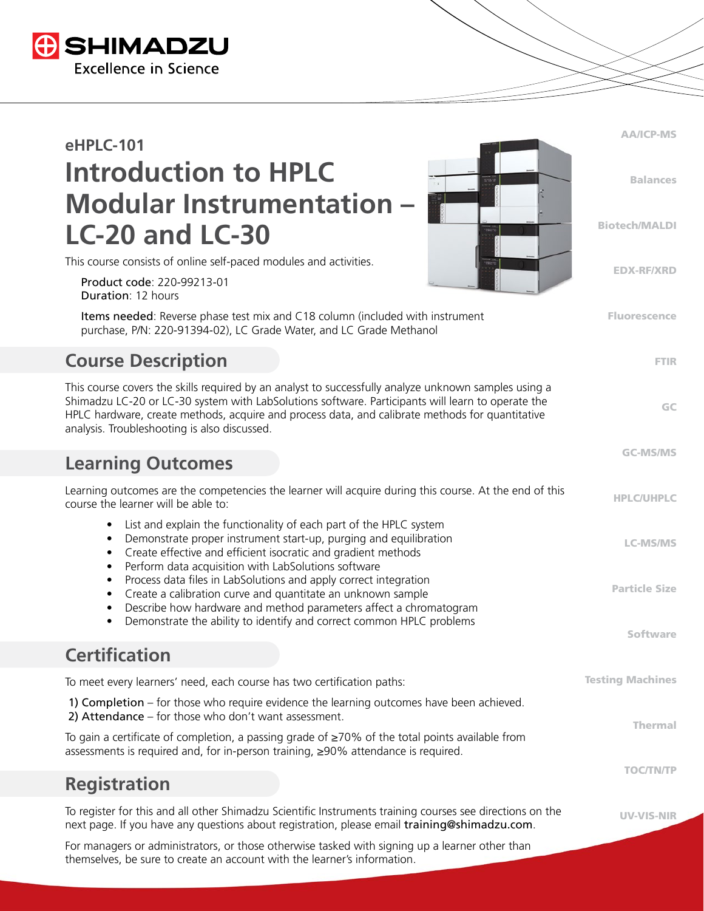

# **eHPLC-101 Introduction to HPLC Modular Instrumentation – LC-20 and LC-30**

This course consists of online self-paced modules and activities.

 Product code: 220-99213-01 Duration: 12 hours

 Items needed: Reverse phase test mix and C18 column (included with instrument purchase, P/N: 220-91394-02), LC Grade Water, and LC Grade Methanol

## **Course Description**

This course covers the skills required by an analyst to successfully analyze unknown samples using a Shimadzu LC-20 or LC-30 system with LabSolutions software. Participants will learn to operate the HPLC hardware, create methods, acquire and process data, and calibrate methods for quantitative analysis. Troubleshooting is also discussed.

#### **Learning Outcomes**

HPLC/UHPLC LC-MS/MS Particle Size Software Testing Machines Thermal TOC/TN/TP UV-VIS-NIR Learning outcomes are the competencies the learner will acquire during this course. At the end of this course the learner will be able to: • List and explain the functionality of each part of the HPLC system • Demonstrate proper instrument start-up, purging and equilibration • Create effective and efficient isocratic and gradient methods • Perform data acquisition with LabSolutions software • Process data files in LabSolutions and apply correct integration • Create a calibration curve and quantitate an unknown sample • Describe how hardware and method parameters affect a chromatogram • Demonstrate the ability to identify and correct common HPLC problems **Certification** To meet every learners' need, each course has two certification paths: 1) Completion – for those who require evidence the learning outcomes have been achieved. 2) Attendance – for those who don't want assessment. To gain a certificate of completion, a passing grade of ≥70% of the total points available from assessments is required and, for in-person training, ≥90% attendance is required. **Registration** To register for this and all other Shimadzu Scientific Instruments training courses see directions on the

AA/ICP-MS

Balances

Biotech/MALDI

EDX-RF/XRD

Fluorescence

FTIR

GC

GC-MS/MS

next page. If you have any questions about registration, please email training@shimadzu.com.

For managers or administrators, or those otherwise tasked with signing up a learner other than themselves, be sure to create an account with the learner's information.